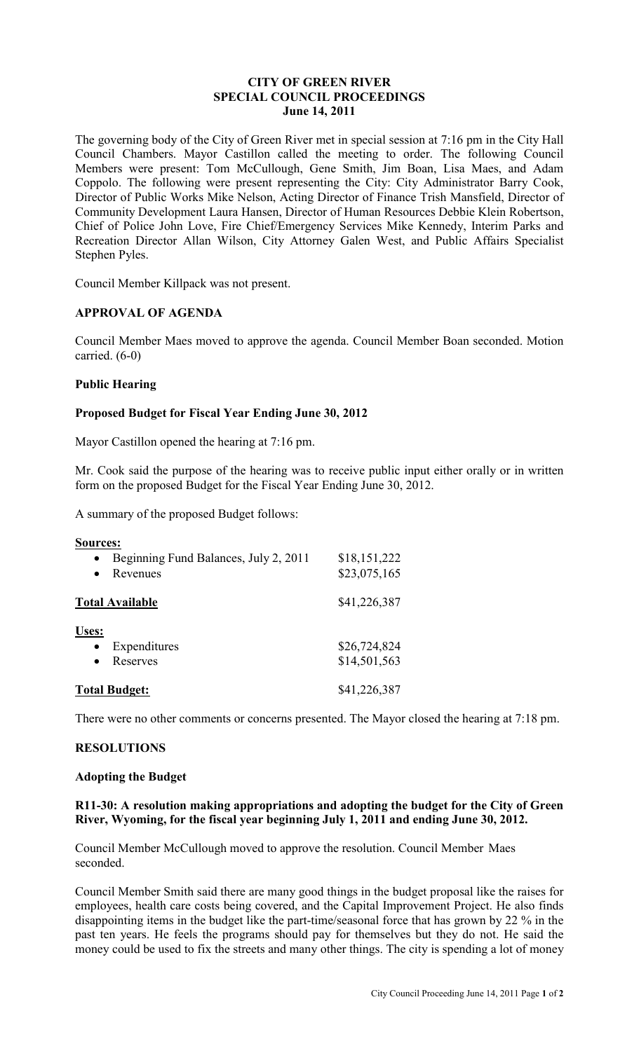### **CITY OF GREEN RIVER SPECIAL COUNCIL PROCEEDINGS June 14, 2011**

The governing body of the City of Green River met in special session at 7:16 pm in the City Hall Council Chambers. Mayor Castillon called the meeting to order. The following Council Members were present: Tom McCullough, Gene Smith, Jim Boan, Lisa Maes, and Adam Coppolo. The following were present representing the City: City Administrator Barry Cook, Director of Public Works Mike Nelson, Acting Director of Finance Trish Mansfield, Director of Community Development Laura Hansen, Director of Human Resources Debbie Klein Robertson, Chief of Police John Love, Fire Chief/Emergency Services Mike Kennedy, Interim Parks and Recreation Director Allan Wilson, City Attorney Galen West, and Public Affairs Specialist Stephen Pyles.

Council Member Killpack was not present.

# **APPROVAL OF AGENDA**

Council Member Maes moved to approve the agenda. Council Member Boan seconded. Motion carried. (6-0)

# **Public Hearing**

# **Proposed Budget for Fiscal Year Ending June 30, 2012**

Mayor Castillon opened the hearing at 7:16 pm.

Mr. Cook said the purpose of the hearing was to receive public input either orally or in written form on the proposed Budget for the Fiscal Year Ending June 30, 2012.

A summary of the proposed Budget follows:

| Sources:<br>Beginning Fund Balances, July 2, 2011<br>Revenues | \$18,151,222<br>\$23,075,165 |
|---------------------------------------------------------------|------------------------------|
| <b>Total Available</b>                                        | \$41,226,387                 |
| Uses:<br>Expenditures<br>Reserves                             | \$26,724,824<br>\$14,501,563 |
| <b>Total Budget:</b>                                          | \$41,226,387                 |

There were no other comments or concerns presented. The Mayor closed the hearing at 7:18 pm.

### **RESOLUTIONS**

### **Adopting the Budget**

# **R11-30: A resolution making appropriations and adopting the budget for the City of Green River, Wyoming, for the fiscal year beginning July 1, 2011 and ending June 30, 2012.**

Council Member McCullough moved to approve the resolution. Council Member Maes seconded.

Council Member Smith said there are many good things in the budget proposal like the raises for employees, health care costs being covered, and the Capital Improvement Project. He also finds disappointing items in the budget like the part-time/seasonal force that has grown by 22 % in the past ten years. He feels the programs should pay for themselves but they do not. He said the money could be used to fix the streets and many other things. The city is spending a lot of money